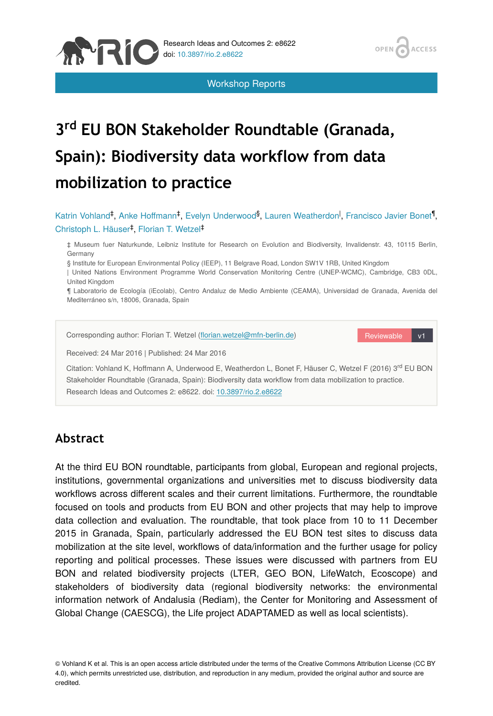Workshop Reports

OPEN

ACCESS

# **3 EU BON Stakeholder Roundtable (Granada, rd Spain): Biodiversity data workflow from data mobilization to practice**

Katrin Vohland<sup>‡</sup>, Anke Hoffmann<sup>‡</sup>, Evelyn Underwood<sup>§</sup>, Lauren Weatherdon<sup>I</sup>, Francisco Javier Bonet<sup>¶</sup>, Christoph L. Häuser<sup>‡</sup>, Florian T. Wetzel<sup>‡</sup>

‡ Museum fuer Naturkunde, Leibniz Institute for Research on Evolution and Biodiversity, Invalidenstr. 43, 10115 Berlin, Germany

§ Institute for European Environmental Policy (IEEP), 11 Belgrave Road, London SW1V 1RB, United Kingdom

| United Nations Environment Programme World Conservation Monitoring Centre (UNEP-WCMC), Cambridge, CB3 0DL, United Kingdom

¶ Laboratorio de Ecología (iEcolab), Centro Andaluz de Medio Ambiente (CEAMA), Universidad de Granada, Avenida del Mediterráneo s/n, 18006, Granada, Spain

Reviewable v1 Corresponding author: Florian T. Wetzel (fl[orian.wetzel@mfn-berlin.de](mailto:florian.wetzel@mfn-berlin.de?subject=Your%20manuscript%20in%20PWT%20#5342/Research%20Ideas%20and%20Outcomes%20#8622)) Received: 24 Mar 2016 | Published: 24 Mar 2016 Citation: Vohland K, Hoffmann A, Underwood E, Weatherdon L, Bonet F, Häuser C, Wetzel F (2016) 3<sup>rd</sup> EU BON Stakeholder Roundtable (Granada, Spain): Biodiversity data workflow from data mobilization to practice. Research Ideas and Outcomes 2: e8622. doi: [10.3897/rio.2.e8622](http://dx.doi.org/10.3897/rio.2.e8622)

# **Abstract**

**NEIC** 

At the third EU BON roundtable, participants from global, European and regional projects, institutions, governmental organizations and universities met to discuss biodiversity data workflows across different scales and their current limitations. Furthermore, the roundtable focused on tools and products from EU BON and other projects that may help to improve data collection and evaluation. The roundtable, that took place from 10 to 11 December 2015 in Granada, Spain, particularly addressed the EU BON test sites to discuss data mobilization at the site level, workflows of data/information and the further usage for policy reporting and political processes. These issues were discussed with partners from EU BON and related biodiversity projects (LTER, GEO BON, LifeWatch, Ecoscope) and stakeholders of biodiversity data (regional biodiversity networks: the environmental information network of Andalusia (Rediam), the Center for Monitoring and Assessment of Global Change (CAESCG), the Life project ADAPTAMED as well as local scientists).

© Vohland K et al. This is an open access article distributed under the terms of the Creative Commons Attribution License (CC BY 4.0), which permits unrestricted use, distribution, and reproduction in any medium, provided the original author and source are credited.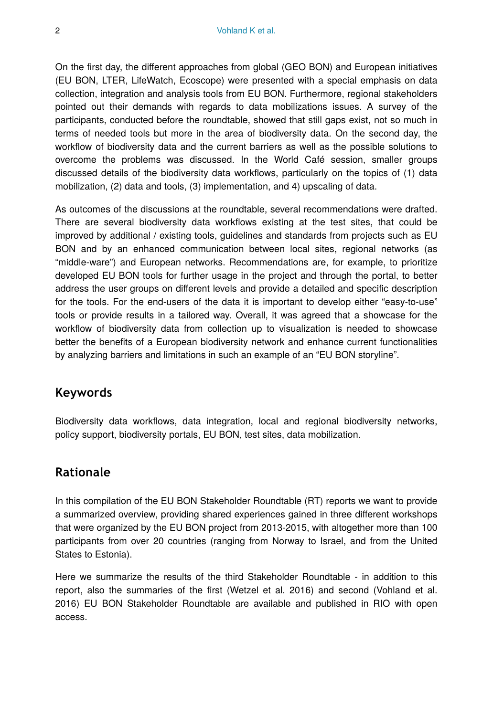On the first day, the different approaches from global (GEO BON) and European initiatives (EU BON, LTER, LifeWatch, Ecoscope) were presented with a special emphasis on data collection, integration and analysis tools from EU BON. Furthermore, regional stakeholders pointed out their demands with regards to data mobilizations issues. A survey of the participants, conducted before the roundtable, showed that still gaps exist, not so much in terms of needed tools but more in the area of biodiversity data. On the second day, the workflow of biodiversity data and the current barriers as well as the possible solutions to overcome the problems was discussed. In the World Café session, smaller groups discussed details of the biodiversity data workflows, particularly on the topics of (1) data mobilization, (2) data and tools, (3) implementation, and 4) upscaling of data.

As outcomes of the discussions at the roundtable, several recommendations were drafted. There are several biodiversity data workflows existing at the test sites, that could be improved by additional / existing tools, guidelines and standards from projects such as EU BON and by an enhanced communication between local sites, regional networks (as "middle-ware") and European networks. Recommendations are, for example, to prioritize developed EU BON tools for further usage in the project and through the portal, to better address the user groups on different levels and provide a detailed and specific description for the tools. For the end-users of the data it is important to develop either "easy-to-use" tools or provide results in a tailored way. Overall, it was agreed that a showcase for the workflow of biodiversity data from collection up to visualization is needed to showcase better the benefits of a European biodiversity network and enhance current functionalities by analyzing barriers and limitations in such an example of an "EU BON storyline".

# **Keywords**

Biodiversity data workflows, data integration, local and regional biodiversity networks, policy support, biodiversity portals, EU BON, test sites, data mobilization.

# **Rationale**

In this compilation of the EU BON Stakeholder Roundtable (RT) reports we want to provide a summarized overview, providing shared experiences gained in three different workshops that were organized by the EU BON project from 2013-2015, with altogether more than 100 participants from over 20 countries (ranging from Norway to Israel, and from the United States to Estonia).

Here we summarize the results of the third Stakeholder Roundtable - in addition to this report, also the summaries of the first (Wetzel et al. 2016) and second (Vohland et al. 2016) EU BON Stakeholder Roundtable are available and published in RIO with open access.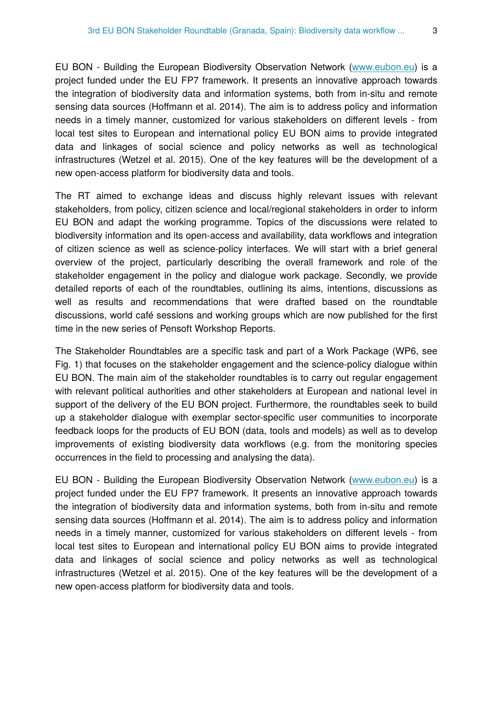EU BON - Building the European Biodiversity Observation Network [\(www.eubon.eu](http://www.eubon.eu)) is a project funded under the EU FP7 framework. It presents an innovative approach towards the integration of biodiversity data and information systems, both from in-situ and remote sensing data sources (Hoffmann et al. 2014). The aim is to address policy and information needs in a timely manner, customized for various stakeholders on different levels - from local test sites to European and international policy EU BON aims to provide integrated data and linkages of social science and policy networks as well as technological infrastructures (Wetzel et al. 2015). One of the key features will be the development of a new open-access platform for biodiversity data and tools.

The RT aimed to exchange ideas and discuss highly relevant issues with relevant stakeholders, from policy, citizen science and local/regional stakeholders in order to inform EU BON and adapt the working programme. Topics of the discussions were related to biodiversity information and its open-access and availability, data workflows and integration of citizen science as well as science-policy interfaces. We will start with a brief general overview of the project, particularly describing the overall framework and role of the stakeholder engagement in the policy and dialogue work package. Secondly, we provide detailed reports of each of the roundtables, outlining its aims, intentions, discussions as well as results and recommendations that were drafted based on the roundtable discussions, world café sessions and working groups which are now published for the first time in the new series of Pensoft Workshop Reports.

The Stakeholder Roundtables are a specific task and part of a Work Package (WP6, see Fig. 1) that focuses on the stakeholder engagement and the science-policy dialogue within EU BON. The main aim of the stakeholder roundtables is to carry out regular engagement with relevant political authorities and other stakeholders at European and national level in support of the delivery of the EU BON project. Furthermore, the roundtables seek to build up a stakeholder dialogue with exemplar sector-specific user communities to incorporate feedback loops for the products of EU BON (data, tools and models) as well as to develop improvements of existing biodiversity data workflows (e.g. from the monitoring species occurrences in the field to processing and analysing the data).

EU BON - Building the European Biodiversity Observation Network [\(www.eubon.eu](http://www.eubon.eu)) is a project funded under the EU FP7 framework. It presents an innovative approach towards the integration of biodiversity data and information systems, both from in-situ and remote sensing data sources (Hoffmann et al. 2014). The aim is to address policy and information needs in a timely manner, customized for various stakeholders on different levels - from local test sites to European and international policy EU BON aims to provide integrated data and linkages of social science and policy networks as well as technological infrastructures (Wetzel et al. 2015). One of the key features will be the development of a new open-access platform for biodiversity data and tools.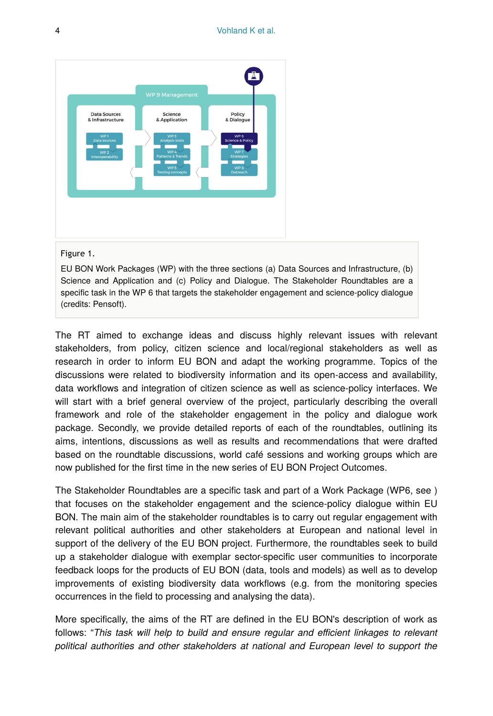

#### Figure 1.

EU BON Work Packages (WP) with the three sections (a) Data Sources and Infrastructure, (b) Science and Application and (c) Policy and Dialogue. The Stakeholder Roundtables are a specific task in the WP 6 that targets the stakeholder engagement and science-policy dialogue (credits: Pensoft).

The RT aimed to exchange ideas and discuss highly relevant issues with relevant stakeholders, from policy, citizen science and local/regional stakeholders as well as research in order to inform EU BON and adapt the working programme. Topics of the discussions were related to biodiversity information and its open-access and availability, data workflows and integration of citizen science as well as science-policy interfaces. We will start with a brief general overview of the project, particularly describing the overall framework and role of the stakeholder engagement in the policy and dialogue work package. Secondly, we provide detailed reports of each of the roundtables, outlining its aims, intentions, discussions as well as results and recommendations that were drafted based on the roundtable discussions, world café sessions and working groups which are now published for the first time in the new series of EU BON Project Outcomes.

The Stakeholder Roundtables are a specific task and part of a Work Package (WP6, see ) that focuses on the stakeholder engagement and the science-policy dialogue within EU BON. The main aim of the stakeholder roundtables is to carry out regular engagement with relevant political authorities and other stakeholders at European and national level in support of the delivery of the EU BON project. Furthermore, the roundtables seek to build up a stakeholder dialogue with exemplar sector-specific user communities to incorporate feedback loops for the products of EU BON (data, tools and models) as well as to develop improvements of existing biodiversity data workflows (e.g. from the monitoring species occurrences in the field to processing and analysing the data).

More specifically, the aims of the RT are defined in the EU BON's description of work as follows: "*This task will help to build and ensure regular and efficient linkages to relevant political authorities and other stakeholders at national and European level to support the*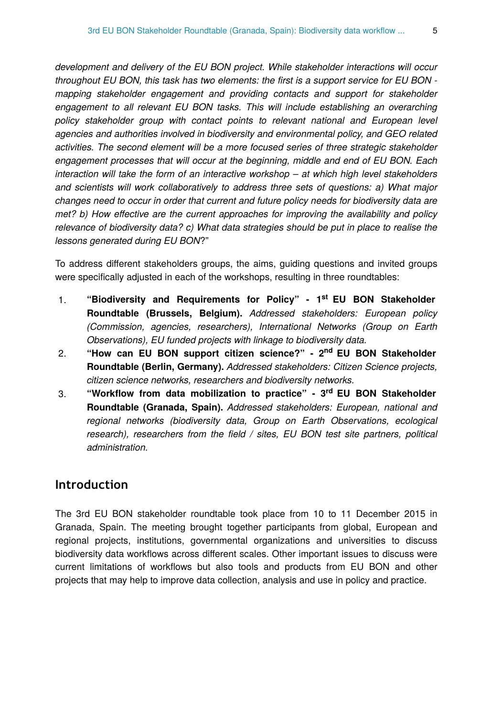*development and delivery of the EU BON project. While stakeholder interactions will occur throughout EU BON, this task has two elements: the first is a support service for EU BON mapping stakeholder engagement and providing contacts and support for stakeholder engagement to all relevant EU BON tasks. This will include establishing an overarching policy stakeholder group with contact points to relevant national and European level agencies and authorities involved in biodiversity and environmental policy, and GEO related activities. The second element will be a more focused series of three strategic stakeholder engagement processes that will occur at the beginning, middle and end of EU BON. Each interaction will take the form of an interactive workshop – at which high level stakeholders and scientists will work collaboratively to address three sets of questions: a) What major changes need to occur in order that current and future policy needs for biodiversity data are met? b) How effective are the current approaches for improving the availability and policy relevance of biodiversity data? c) What data strategies should be put in place to realise the lessons generated during EU BON*?"

To address different stakeholders groups, the aims, guiding questions and invited groups were specifically adjusted in each of the workshops, resulting in three roundtables:

- 1. "Biodiversity and Requirements for Policy" 1<sup>st</sup> EU BON Stakeholder **Roundtable (Brussels, Belgium).** *Addressed stakeholders: European policy (Commission, agencies, researchers), International Networks (Group on Earth Observations), EU funded projects with linkage to biodiversity data.*
- 2. **"How can EU BON support citizen science?" 2 EU BON Stakeholder nd Roundtable (Berlin, Germany).** *Addressed stakeholders: Citizen Science projects, citizen science networks, researchers and biodiversity networks.*
- 3. **"Workflow from data mobilization to practice" 3 EU BON Stakeholder rd Roundtable (Granada, Spain).** *Addressed stakeholders: European, national and regional networks (biodiversity data, Group on Earth Observations, ecological research), researchers from the field / sites, EU BON test site partners, political administration.*

# **Introduction**

The 3rd EU BON stakeholder roundtable took place from 10 to 11 December 2015 in Granada, Spain. The meeting brought together participants from global, European and regional projects, institutions, governmental organizations and universities to discuss biodiversity data workflows across different scales. Other important issues to discuss were current limitations of workflows but also tools and products from EU BON and other projects that may help to improve data collection, analysis and use in policy and practice.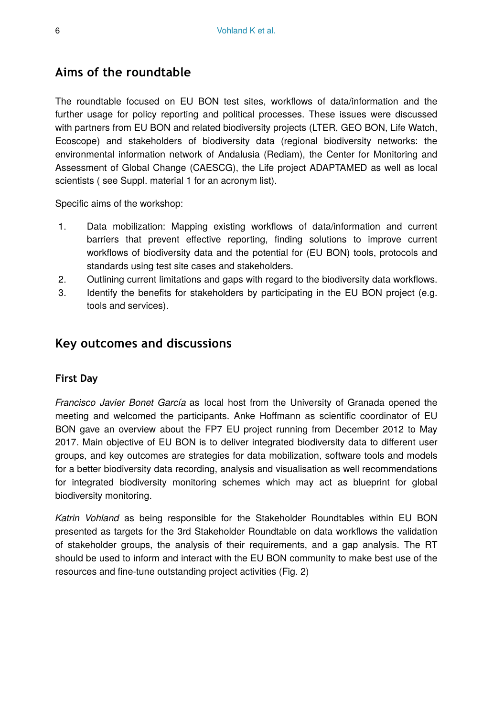# **Aims of the roundtable**

The roundtable focused on EU BON test sites, workflows of data/information and the further usage for policy reporting and political processes. These issues were discussed with partners from EU BON and related biodiversity projects (LTER, GEO BON, Life Watch, Ecoscope) and stakeholders of biodiversity data (regional biodiversity networks: the environmental information network of Andalusia (Rediam), the Center for Monitoring and Assessment of Global Change (CAESCG), the Life project ADAPTAMED as well as local scientists ( see Suppl. material 1 for an acronym list).

Specific aims of the workshop:

- 1. Data mobilization: Mapping existing workflows of data/information and current barriers that prevent effective reporting, finding solutions to improve current workflows of biodiversity data and the potential for (EU BON) tools, protocols and standards using test site cases and stakeholders.
- 2. Outlining current limitations and gaps with regard to the biodiversity data workflows.
- 3. Identify the benefits for stakeholders by participating in the EU BON project (e.g. tools and services).

# **Key outcomes and discussions**

#### **First Day**

*Francisco Javier Bonet García* as local host from the University of Granada opened the meeting and welcomed the participants. Anke Hoffmann as scientific coordinator of EU BON gave an overview about the FP7 EU project running from December 2012 to May 2017. Main objective of EU BON is to deliver integrated biodiversity data to different user groups, and key outcomes are strategies for data mobilization, software tools and models for a better biodiversity data recording, analysis and visualisation as well recommendations for integrated biodiversity monitoring schemes which may act as blueprint for global biodiversity monitoring.

*Katrin Vohland* as being responsible for the Stakeholder Roundtables within EU BON presented as targets for the 3rd Stakeholder Roundtable on data workflows the validation of stakeholder groups, the analysis of their requirements, and a gap analysis. The RT should be used to inform and interact with the EU BON community to make best use of the resources and fine-tune outstanding project activities (Fig. 2)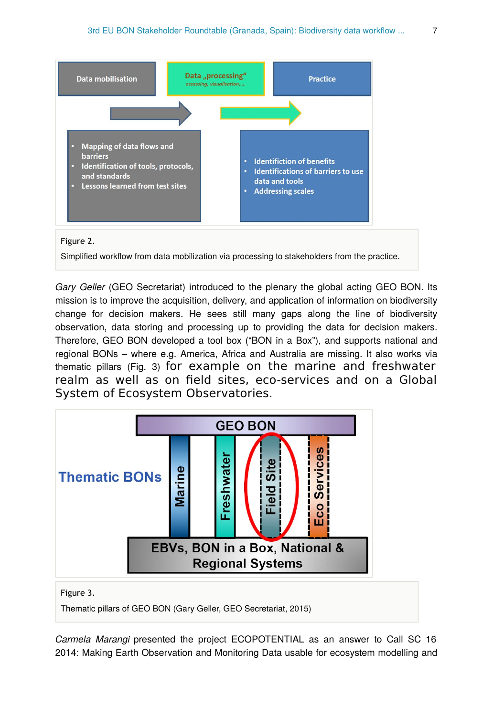

Gary Geller (GEO Secretariat) introduced to the plenary the global acting GEO BON. Its mission is to improve the acquisition, delivery, and application of information on biodiversity change for decision makers. He sees still many gaps along the line of biodiversity observation, data storing and processing up to providing the data for decision makers. Therefore, GEO BON developed a tool box ("BON in a Box"), and supports national and regional BONs – where e.g. America, Africa and Australia are missing. It also works via thematic pillars (Fig. 3) for example on the marine and freshwater realm as well as on field sites, eco-services and on a Global System of Ecosystem Observatories.



*Carmela Marangi* presented the project ECOPOTENTIAL as an answer to Call SC 16 2014: Making Earth Observation and Monitoring Data usable for ecosystem modelling and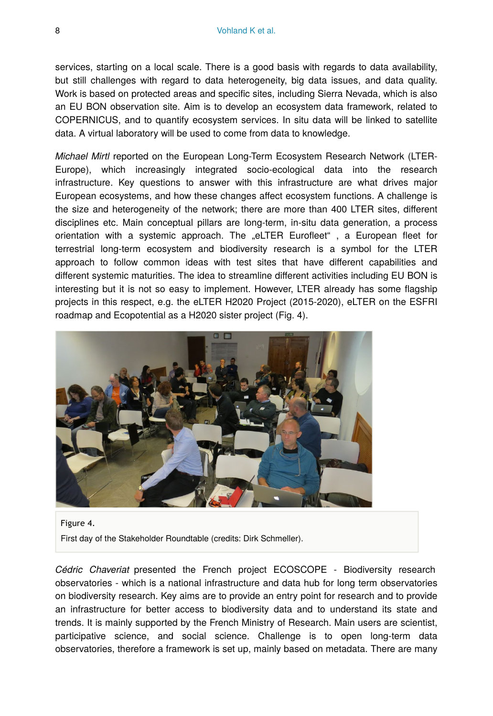services, starting on a local scale. There is a good basis with regards to data availability, but still challenges with regard to data heterogeneity, big data issues, and data quality. Work is based on protected areas and specific sites, including Sierra Nevada, which is also an EU BON observation site. Aim is to develop an ecosystem data framework, related to COPERNICUS, and to quantify ecosystem services. In situ data will be linked to satellite data. A virtual laboratory will be used to come from data to knowledge.

*Michael Mirtl* reported on the European Long-Term Ecosystem Research Network (LTER-Europe), which increasingly integrated socio-ecological data into the research infrastructure. Key questions to answer with this infrastructure are what drives major European ecosystems, and how these changes affect ecosystem functions. A challenge is the size and heterogeneity of the network; there are more than 400 LTER sites, different disciplines etc. Main conceptual pillars are long-term, in-situ data generation, a process orientation with a systemic approach. The "eLTER Eurofleet" , a European fleet for terrestrial long-term ecosystem and biodiversity research is a symbol for the LTER approach to follow common ideas with test sites that have different capabilities and different systemic maturities. The idea to streamline different activities including EU BON is interesting but it is not so easy to implement. However, LTER already has some flagship projects in this respect, e.g. the eLTER H2020 Project (2015-2020), eLTER on the ESFRI roadmap and Ecopotential as a H2020 sister project (Fig. 4).



Figure 4.

First day of the Stakeholder Roundtable (credits: Dirk Schmeller).

*Cédric Chaveriat* presented the French project ECOSCOPE - Biodiversity research observatories - which is a national infrastructure and data hub for long term observatories on biodiversity research. Key aims are to provide an entry point for research and to provide an infrastructure for better access to biodiversity data and to understand its state and trends. It is mainly supported by the French Ministry of Research. Main users are scientist, participative science, and social science. Challenge is to open long-term data observatories, therefore a framework is set up, mainly based on metadata. There are many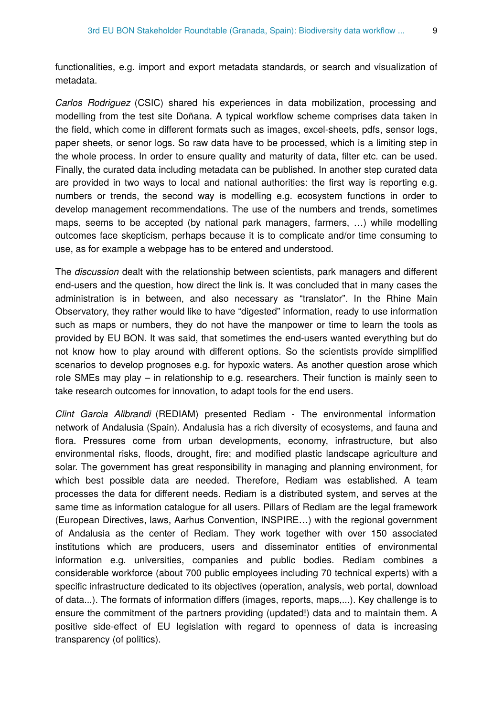functionalities, e.g. import and export metadata standards, or search and visualization of metadata.

*Carlos Rodriguez* (CSIC) shared his experiences in data mobilization, processing and modelling from the test site Doñana. A typical workflow scheme comprises data taken in the field, which come in different formats such as images, excel-sheets, pdfs, sensor logs, paper sheets, or senor logs. So raw data have to be processed, which is a limiting step in the whole process. In order to ensure quality and maturity of data, filter etc. can be used. Finally, the curated data including metadata can be published. In another step curated data are provided in two ways to local and national authorities: the first way is reporting e.g. numbers or trends, the second way is modelling e.g. ecosystem functions in order to develop management recommendations. The use of the numbers and trends, sometimes maps, seems to be accepted (by national park managers, farmers, …) while modelling outcomes face skepticism, perhaps because it is to complicate and/or time consuming to use, as for example a webpage has to be entered and understood.

The *discussion* dealt with the relationship between scientists, park managers and different end-users and the question, how direct the link is. It was concluded that in many cases the administration is in between, and also necessary as "translator". In the Rhine Main Observatory, they rather would like to have "digested" information, ready to use information such as maps or numbers, they do not have the manpower or time to learn the tools as provided by EU BON. It was said, that sometimes the end-users wanted everything but do not know how to play around with different options. So the scientists provide simplified scenarios to develop prognoses e.g. for hypoxic waters. As another question arose which role SMEs may play – in relationship to e.g. researchers. Their function is mainly seen to take research outcomes for innovation, to adapt tools for the end users.

*Clint Garcia Alibrandi* (REDIAM) presented Rediam - The environmental information network of Andalusia (Spain). Andalusia has a rich diversity of ecosystems, and fauna and flora. Pressures come from urban developments, economy, infrastructure, but also environmental risks, floods, drought, fire; and modified plastic landscape agriculture and solar. The government has great responsibility in managing and planning environment, for which best possible data are needed. Therefore, Rediam was established. A team processes the data for different needs. Rediam is a distributed system, and serves at the same time as information catalogue for all users. Pillars of Rediam are the legal framework (European Directives, laws, Aarhus Convention, INSPIRE…) with the regional government of Andalusia as the center of Rediam. They work together with over 150 associated institutions which are producers, users and disseminator entities of environmental information e.g. universities, companies and public bodies. Rediam combines a considerable workforce (about 700 public employees including 70 technical experts) with a specific infrastructure dedicated to its objectives (operation, analysis, web portal, download of data...). The formats of information differs (images, reports, maps,...). Key challenge is to ensure the commitment of the partners providing (updated!) data and to maintain them. A positive side-effect of EU legislation with regard to openness of data is increasing transparency (of politics).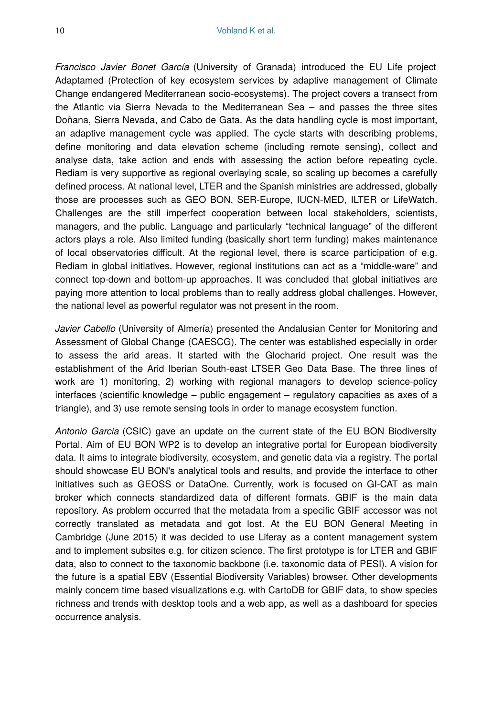*Francisco Javier Bonet García* (University of Granada) introduced the EU Life project Adaptamed (Protection of key ecosystem services by adaptive management of Climate Change endangered Mediterranean socio-ecosystems). The project covers a transect from the Atlantic via Sierra Nevada to the Mediterranean Sea – and passes the three sites Doñana, Sierra Nevada, and Cabo de Gata. As the data handling cycle is most important, an adaptive management cycle was applied. The cycle starts with describing problems, define monitoring and data elevation scheme (including remote sensing), collect and analyse data, take action and ends with assessing the action before repeating cycle. Rediam is very supportive as regional overlaying scale, so scaling up becomes a carefully defined process. At national level, LTER and the Spanish ministries are addressed, globally those are processes such as GEO BON, SER-Europe, IUCN-MED, ILTER or LifeWatch. Challenges are the still imperfect cooperation between local stakeholders, scientists, managers, and the public. Language and particularly "technical language" of the different actors plays a role. Also limited funding (basically short term funding) makes maintenance of local observatories difficult. At the regional level, there is scarce participation of e.g. Rediam in global initiatives. However, regional institutions can act as a "middle-ware" and connect top-down and bottom-up approaches. It was concluded that global initiatives are paying more attention to local problems than to really address global challenges. However, the national level as powerful regulator was not present in the room.

*Javier Cabello* (University of Almería) presented the Andalusian Center for Monitoring and Assessment of Global Change (CAESCG). The center was established especially in order to assess the arid areas. It started with the Glocharid project. One result was the establishment of the Arid Iberian South-east LTSER Geo Data Base. The three lines of work are 1) monitoring, 2) working with regional managers to develop science-policy interfaces (scientific knowledge – public engagement – regulatory capacities as axes of a triangle), and 3) use remote sensing tools in order to manage ecosystem function.

*Antonio Garcia* (CSIC) gave an update on the current state of the EU BON Biodiversity Portal. Aim of EU BON WP2 is to develop an integrative portal for European biodiversity data. It aims to integrate biodiversity, ecosystem, and genetic data via a registry. The portal should showcase EU BON's analytical tools and results, and provide the interface to other initiatives such as GEOSS or DataOne. Currently, work is focused on GI-CAT as main broker which connects standardized data of different formats. GBIF is the main data repository. As problem occurred that the metadata from a specific GBIF accessor was not correctly translated as metadata and got lost. At the EU BON General Meeting in Cambridge (June 2015) it was decided to use Liferay as a content management system and to implement subsites e.g. for citizen science. The first prototype is for LTER and GBIF data, also to connect to the taxonomic backbone (i.e. taxonomic data of PESI). A vision for the future is a spatial EBV (Essential Biodiversity Variables) browser. Other developments mainly concern time based visualizations e.g. with CartoDB for GBIF data, to show species richness and trends with desktop tools and a web app, as well as a dashboard for species occurrence analysis.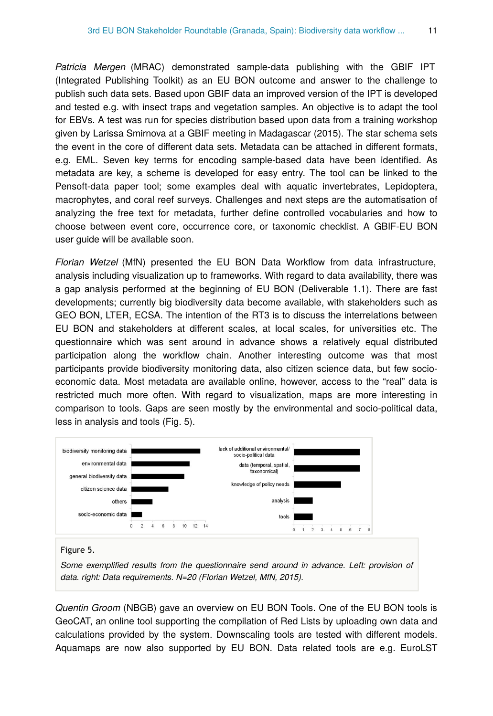*Patricia Mergen* (MRAC) demonstrated sample-data publishing with the GBIF IPT (Integrated Publishing Toolkit) as an EU BON outcome and answer to the challenge to publish such data sets. Based upon GBIF data an improved version of the IPT is developed and tested e.g. with insect traps and vegetation samples. An objective is to adapt the tool for EBVs. A test was run for species distribution based upon data from a training workshop given by Larissa Smirnova at a GBIF meeting in Madagascar (2015). The star schema sets the event in the core of different data sets. Metadata can be attached in different formats, e.g. EML. Seven key terms for encoding sample-based data have been identified. As metadata are key, a scheme is developed for easy entry. The tool can be linked to the Pensoft-data paper tool; some examples deal with aquatic invertebrates, Lepidoptera, macrophytes, and coral reef surveys. Challenges and next steps are the automatisation of analyzing the free text for metadata, further define controlled vocabularies and how to choose between event core, occurrence core, or taxonomic checklist. A GBIF-EU BON user guide will be available soon.

*Florian Wetzel* (MfN) presented the EU BON Data Workflow from data infrastructure, analysis including visualization up to frameworks. With regard to data availability, there was a gap analysis performed at the beginning of EU BON (Deliverable 1.1). There are fast developments; currently big biodiversity data become available, with stakeholders such as GEO BON, LTER, ECSA. The intention of the RT3 is to discuss the interrelations between EU BON and stakeholders at different scales, at local scales, for universities etc. The questionnaire which was sent around in advance shows a relatively equal distributed participation along the workflow chain. Another interesting outcome was that most participants provide biodiversity monitoring data, also citizen science data, but few socioeconomic data. Most metadata are available online, however, access to the "real" data is restricted much more often. With regard to visualization, maps are more interesting in comparison to tools. Gaps are seen mostly by the environmental and socio-political data, less in analysis and tools (Fig. 5).



*Some exemplified results from the questionnaire send around in advance. Left: provision of data. right: Data requirements. N=20 (Florian Wetzel, MfN, 2015).*

*Quentin Groom* (NBGB) gave an overview on EU BON Tools. One of the EU BON tools is GeoCAT, an online tool supporting the compilation of Red Lists by uploading own data and calculations provided by the system. Downscaling tools are tested with different models. Aquamaps are now also supported by EU BON. Data related tools are e.g. EuroLST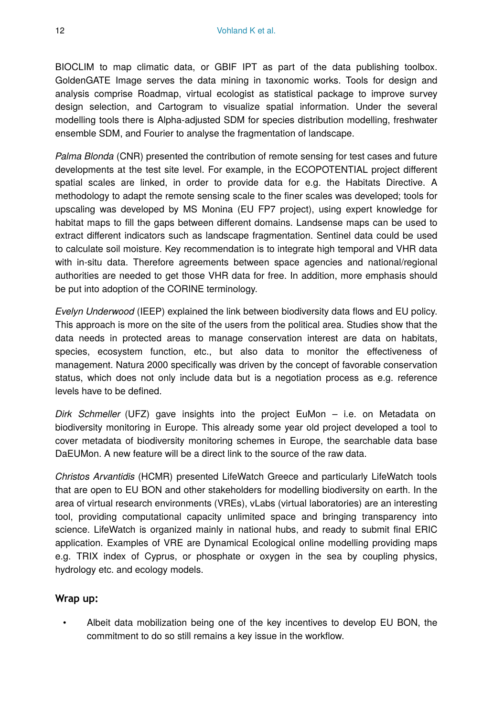BIOCLIM to map climatic data, or GBIF IPT as part of the data publishing toolbox. GoldenGATE Image serves the data mining in taxonomic works. Tools for design and analysis comprise Roadmap, virtual ecologist as statistical package to improve survey design selection, and Cartogram to visualize spatial information. Under the several modelling tools there is Alpha-adjusted SDM for species distribution modelling, freshwater ensemble SDM, and Fourier to analyse the fragmentation of landscape.

*Palma Blonda* (CNR) presented the contribution of remote sensing for test cases and future developments at the test site level. For example, in the ECOPOTENTIAL project different spatial scales are linked, in order to provide data for e.g. the Habitats Directive. A methodology to adapt the remote sensing scale to the finer scales was developed; tools for upscaling was developed by MS Monina (EU FP7 project), using expert knowledge for habitat maps to fill the gaps between different domains. Landsense maps can be used to extract different indicators such as landscape fragmentation. Sentinel data could be used to calculate soil moisture. Key recommendation is to integrate high temporal and VHR data with in-situ data. Therefore agreements between space agencies and national/regional authorities are needed to get those VHR data for free. In addition, more emphasis should be put into adoption of the CORINE terminology.

*Evelyn Underwood* (IEEP) explained the link between biodiversity data flows and EU policy. This approach is more on the site of the users from the political area. Studies show that the data needs in protected areas to manage conservation interest are data on habitats, species, ecosystem function, etc., but also data to monitor the effectiveness of management. Natura 2000 specifically was driven by the concept of favorable conservation status, which does not only include data but is a negotiation process as e.g. reference levels have to be defined.

*Dirk Schmeller* (UFZ) gave insights into the project EuMon – i.e. on Metadata on biodiversity monitoring in Europe. This already some year old project developed a tool to cover metadata of biodiversity monitoring schemes in Europe, the searchable data base DaEUMon. A new feature will be a direct link to the source of the raw data.

*Christos Arvantidis* (HCMR) presented LifeWatch Greece and particularly LifeWatch tools that are open to EU BON and other stakeholders for modelling biodiversity on earth. In the area of virtual research environments (VREs), vLabs (virtual laboratories) are an interesting tool, providing computational capacity unlimited space and bringing transparency into science. LifeWatch is organized mainly in national hubs, and ready to submit final ERIC application. Examples of VRE are Dynamical Ecological online modelling providing maps e.g. TRIX index of Cyprus, or phosphate or oxygen in the sea by coupling physics, hydrology etc. and ecology models.

#### **Wrap up:**

• Albeit data mobilization being one of the key incentives to develop EU BON, the commitment to do so still remains a key issue in the workflow.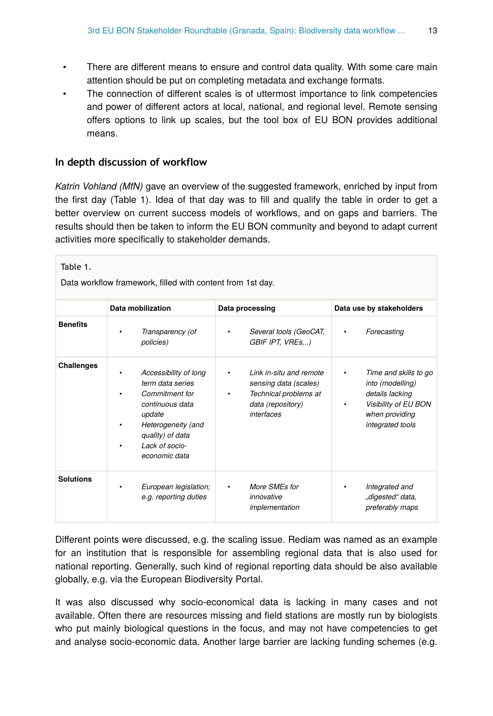- There are different means to ensure and control data quality. With some care main attention should be put on completing metadata and exchange formats.
- The connection of different scales is of uttermost importance to link competencies and power of different actors at local, national, and regional level. Remote sensing offers options to link up scales, but the tool box of EU BON provides additional means.

#### **In depth discussion of workflow**

*Katrin Vohland (MfN)* gave an overview of the suggested framework, enriched by input from the first day (Table 1). Idea of that day was to fill and qualify the table in order to get a better overview on current success models of workflows, and on gaps and barriers. The results should then be taken to inform the EU BON community and beyond to adapt current activities more specifically to stakeholder demands.

| Table 1.<br>Data workflow framework, filled with content from 1st day. |                                                                                                                                                                            |                                                                                                              |                                                                                                                                 |
|------------------------------------------------------------------------|----------------------------------------------------------------------------------------------------------------------------------------------------------------------------|--------------------------------------------------------------------------------------------------------------|---------------------------------------------------------------------------------------------------------------------------------|
|                                                                        | Data mobilization                                                                                                                                                          | Data processing                                                                                              | Data use by stakeholders                                                                                                        |
| <b>Benefits</b>                                                        | Transparency (of<br>policies)                                                                                                                                              | Several tools (GeoCAT,<br>GBIF IPT, VREs,)                                                                   | Forecasting                                                                                                                     |
| Challenges                                                             | Accessibility of long<br>term data series<br>Commitment for<br>continuous data<br>update<br>Heterogeneity (and<br>٠<br>quality) of data<br>Lack of socio-<br>economic data | Link in-situ and remote<br>sensing data (scales)<br>Technical problems at<br>data (repository)<br>interfaces | Time and skills to go<br>into (modelling)<br>details lacking<br>Visibility of EU BON<br>٠<br>when providing<br>integrated tools |
| <b>Solutions</b>                                                       | European legislation;<br>$\bullet$<br>e.g. reporting duties                                                                                                                | More SMEs for<br>$\bullet$<br>innovative<br>implementation                                                   | Integrated and<br>٠<br>"digested" data,<br>preferably maps                                                                      |

Different points were discussed, e.g. the scaling issue. Rediam was named as an example for an institution that is responsible for assembling regional data that is also used for national reporting. Generally, such kind of regional reporting data should be also available globally, e.g. via the European Biodiversity Portal.

It was also discussed why socio-economical data is lacking in many cases and not available. Often there are resources missing and field stations are mostly run by biologists who put mainly biological questions in the focus, and may not have competencies to get and analyse socio-economic data. Another large barrier are lacking funding schemes (e.g.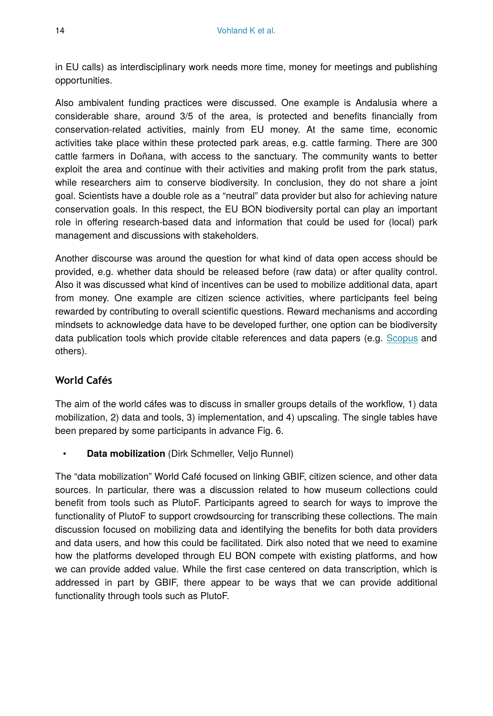in EU calls) as interdisciplinary work needs more time, money for meetings and publishing opportunities.

Also ambivalent funding practices were discussed. One example is Andalusia where a considerable share, around 3/5 of the area, is protected and benefits financially from conservation-related activities, mainly from EU money. At the same time, economic activities take place within these protected park areas, e.g. cattle farming. There are 300 cattle farmers in Doñana, with access to the sanctuary. The community wants to better exploit the area and continue with their activities and making profit from the park status, while researchers aim to conserve biodiversity. In conclusion, they do not share a joint goal. Scientists have a double role as a "neutral" data provider but also for achieving nature conservation goals. In this respect, the EU BON biodiversity portal can play an important role in offering research-based data and information that could be used for (local) park management and discussions with stakeholders.

Another discourse was around the question for what kind of data open access should be provided, e.g. whether data should be released before (raw data) or after quality control. Also it was discussed what kind of incentives can be used to mobilize additional data, apart from money. One example are citizen science activities, where participants feel being rewarded by contributing to overall scientific questions. Reward mechanisms and according mindsets to acknowledge data have to be developed further, one option can be biodiversity data publication tools which provide citable references and data papers (e.g. [Scopus](http://www.scopus.com/) and others).

#### **World Cafés**

The aim of the world cáfes was to discuss in smaller groups details of the workflow, 1) data mobilization, 2) data and tools, 3) implementation, and 4) upscaling. The single tables have been prepared by some participants in advance Fig. 6.

• **Data mobilization** (Dirk Schmeller, Veljo Runnel)

The "data mobilization" World Café focused on linking GBIF, citizen science, and other data sources. In particular, there was a discussion related to how museum collections could benefit from tools such as PlutoF. Participants agreed to search for ways to improve the functionality of PlutoF to support crowdsourcing for transcribing these collections. The main discussion focused on mobilizing data and identifying the benefits for both data providers and data users, and how this could be facilitated. Dirk also noted that we need to examine how the platforms developed through EU BON compete with existing platforms, and how we can provide added value. While the first case centered on data transcription, which is addressed in part by GBIF, there appear to be ways that we can provide additional functionality through tools such as PlutoF.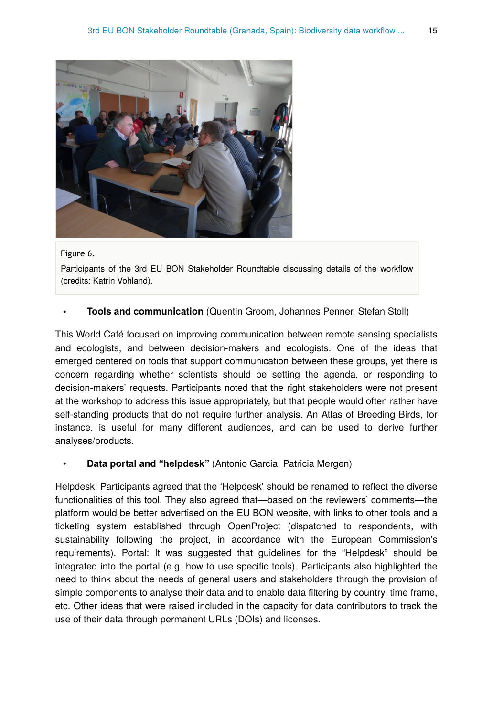

#### Figure 6.

Participants of the 3rd EU BON Stakeholder Roundtable discussing details of the workflow (credits: Katrin Vohland).

#### • **Tools and communication** (Quentin Groom, Johannes Penner, Stefan Stoll)

This World Café focused on improving communication between remote sensing specialists and ecologists, and between decision-makers and ecologists. One of the ideas that emerged centered on tools that support communication between these groups, yet there is concern regarding whether scientists should be setting the agenda, or responding to decision-makers' requests. Participants noted that the right stakeholders were not present at the workshop to address this issue appropriately, but that people would often rather have self-standing products that do not require further analysis. An Atlas of Breeding Birds, for instance, is useful for many different audiences, and can be used to derive further analyses/products.

#### • **Data portal and "helpdesk"** (Antonio Garcia, Patricia Mergen)

Helpdesk: Participants agreed that the 'Helpdesk' should be renamed to reflect the diverse functionalities of this tool. They also agreed that—based on the reviewers' comments—the platform would be better advertised on the EU BON website, with links to other tools and a ticketing system established through OpenProject (dispatched to respondents, with sustainability following the project, in accordance with the European Commission's requirements). Portal: It was suggested that guidelines for the "Helpdesk" should be integrated into the portal (e.g. how to use specific tools). Participants also highlighted the need to think about the needs of general users and stakeholders through the provision of simple components to analyse their data and to enable data filtering by country, time frame, etc. Other ideas that were raised included in the capacity for data contributors to track the use of their data through permanent URLs (DOIs) and licenses.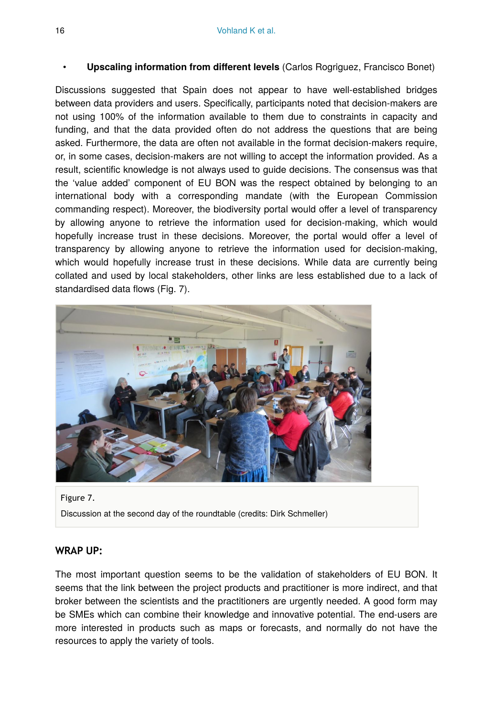#### • **Upscaling information from different levels** (Carlos Rogriguez, Francisco Bonet)

Discussions suggested that Spain does not appear to have well-established bridges between data providers and users. Specifically, participants noted that decision-makers are not using 100% of the information available to them due to constraints in capacity and funding, and that the data provided often do not address the questions that are being asked. Furthermore, the data are often not available in the format decision-makers require, or, in some cases, decision-makers are not willing to accept the information provided. As a result, scientific knowledge is not always used to guide decisions. The consensus was that the 'value added' component of EU BON was the respect obtained by belonging to an international body with a corresponding mandate (with the European Commission commanding respect). Moreover, the biodiversity portal would offer a level of transparency by allowing anyone to retrieve the information used for decision-making, which would hopefully increase trust in these decisions. Moreover, the portal would offer a level of transparency by allowing anyone to retrieve the information used for decision-making, which would hopefully increase trust in these decisions. While data are currently being collated and used by local stakeholders, other links are less established due to a lack of standardised data flows (Fig. 7).



Figure 7. Discussion at the second day of the roundtable (credits: Dirk Schmeller)

#### **WRAP UP:**

The most important question seems to be the validation of stakeholders of EU BON. It seems that the link between the project products and practitioner is more indirect, and that broker between the scientists and the practitioners are urgently needed. A good form may be SMEs which can combine their knowledge and innovative potential. The end-users are more interested in products such as maps or forecasts, and normally do not have the resources to apply the variety of tools.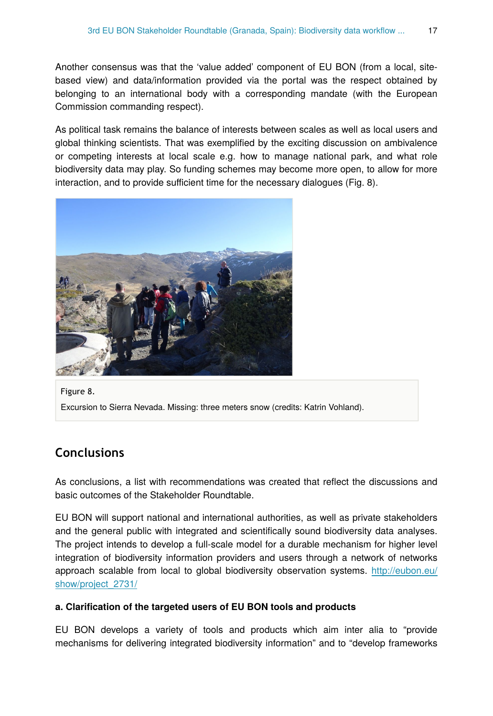Another consensus was that the 'value added' component of EU BON (from a local, sitebased view) and data/information provided via the portal was the respect obtained by belonging to an international body with a corresponding mandate (with the European Commission commanding respect).

As political task remains the balance of interests between scales as well as local users and global thinking scientists. That was exemplified by the exciting discussion on ambivalence or competing interests at local scale e.g. how to manage national park, and what role biodiversity data may play. So funding schemes may become more open, to allow for more interaction, and to provide sufficient time for the necessary dialogues (Fig. 8).



Figure 8. Excursion to Sierra Nevada. Missing: three meters snow (credits: Katrin Vohland).

# **Conclusions**

As conclusions, a list with recommendations was created that reflect the discussions and basic outcomes of the Stakeholder Roundtable.

EU BON will support national and international authorities, as well as private stakeholders and the general public with integrated and scientifically sound biodiversity data analyses. The project intends to develop a full-scale model for a durable mechanism for higher level integration of biodiversity information providers and users through a network of networks approach scalable from local to global biodiversity observation systems. [http://eubon.eu/](http://eubon.eu/show/project_2731/) [show/project\\_2731/](http://eubon.eu/show/project_2731/)

#### **a. Clarification of the targeted users of EU BON tools and products**

EU BON develops a variety of tools and products which aim inter alia to "provide mechanisms for delivering integrated biodiversity information" and to "develop frameworks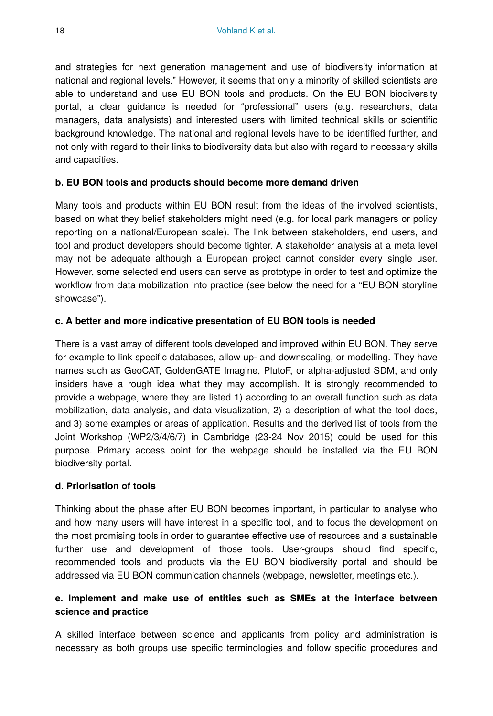and strategies for next generation management and use of biodiversity information at national and regional levels." However, it seems that only a minority of skilled scientists are able to understand and use EU BON tools and products. On the EU BON biodiversity portal, a clear guidance is needed for "professional" users (e.g. researchers, data managers, data analysists) and interested users with limited technical skills or scientific background knowledge. The national and regional levels have to be identified further, and not only with regard to their links to biodiversity data but also with regard to necessary skills and capacities.

#### **b. EU BON tools and products should become more demand driven**

Many tools and products within EU BON result from the ideas of the involved scientists, based on what they belief stakeholders might need (e.g. for local park managers or policy reporting on a national/European scale). The link between stakeholders, end users, and tool and product developers should become tighter. A stakeholder analysis at a meta level may not be adequate although a European project cannot consider every single user. However, some selected end users can serve as prototype in order to test and optimize the workflow from data mobilization into practice (see below the need for a "EU BON storyline showcase").

#### **c. A better and more indicative presentation of EU BON tools is needed**

There is a vast array of different tools developed and improved within EU BON. They serve for example to link specific databases, allow up- and downscaling, or modelling. They have names such as GeoCAT, GoldenGATE Imagine, PlutoF, or alpha-adjusted SDM, and only insiders have a rough idea what they may accomplish. It is strongly recommended to provide a webpage, where they are listed 1) according to an overall function such as data mobilization, data analysis, and data visualization, 2) a description of what the tool does, and 3) some examples or areas of application. Results and the derived list of tools from the Joint Workshop (WP2/3/4/6/7) in Cambridge (23-24 Nov 2015) could be used for this purpose. Primary access point for the webpage should be installed via the EU BON biodiversity portal.

#### **d. Priorisation of tools**

Thinking about the phase after EU BON becomes important, in particular to analyse who and how many users will have interest in a specific tool, and to focus the development on the most promising tools in order to guarantee effective use of resources and a sustainable further use and development of those tools. User-groups should find specific, recommended tools and products via the EU BON biodiversity portal and should be addressed via EU BON communication channels (webpage, newsletter, meetings etc.).

#### **e. Implement and make use of entities such as SMEs at the interface between science and practice**

A skilled interface between science and applicants from policy and administration is necessary as both groups use specific terminologies and follow specific procedures and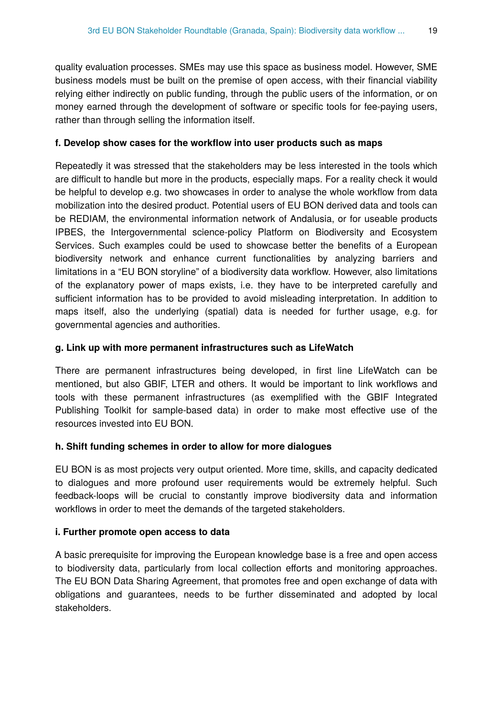quality evaluation processes. SMEs may use this space as business model. However, SME business models must be built on the premise of open access, with their financial viability relying either indirectly on public funding, through the public users of the information, or on money earned through the development of software or specific tools for fee-paying users, rather than through selling the information itself.

#### **f. Develop show cases for the workflow into user products such as maps**

Repeatedly it was stressed that the stakeholders may be less interested in the tools which are difficult to handle but more in the products, especially maps. For a reality check it would be helpful to develop e.g. two showcases in order to analyse the whole workflow from data mobilization into the desired product. Potential users of EU BON derived data and tools can be REDIAM, the environmental information network of Andalusia, or for useable products IPBES, the Intergovernmental science-policy Platform on Biodiversity and Ecosystem Services. Such examples could be used to showcase better the benefits of a European biodiversity network and enhance current functionalities by analyzing barriers and limitations in a "EU BON storyline" of a biodiversity data workflow. However, also limitations of the explanatory power of maps exists, i.e. they have to be interpreted carefully and sufficient information has to be provided to avoid misleading interpretation. In addition to maps itself, also the underlying (spatial) data is needed for further usage, e.g. for governmental agencies and authorities.

#### **g. Link up with more permanent infrastructures such as LifeWatch**

There are permanent infrastructures being developed, in first line LifeWatch can be mentioned, but also GBIF, LTER and others. It would be important to link workflows and tools with these permanent infrastructures (as exemplified with the GBIF Integrated Publishing Toolkit for sample-based data) in order to make most effective use of the resources invested into EU BON.

#### **h. Shift funding schemes in order to allow for more dialogues**

EU BON is as most projects very output oriented. More time, skills, and capacity dedicated to dialogues and more profound user requirements would be extremely helpful. Such feedback-loops will be crucial to constantly improve biodiversity data and information workflows in order to meet the demands of the targeted stakeholders.

#### **i. Further promote open access to data**

A basic prerequisite for improving the European knowledge base is a free and open access to biodiversity data, particularly from local collection efforts and monitoring approaches. The EU BON Data Sharing Agreement, that promotes free and open exchange of data with obligations and guarantees, needs to be further disseminated and adopted by local stakeholders.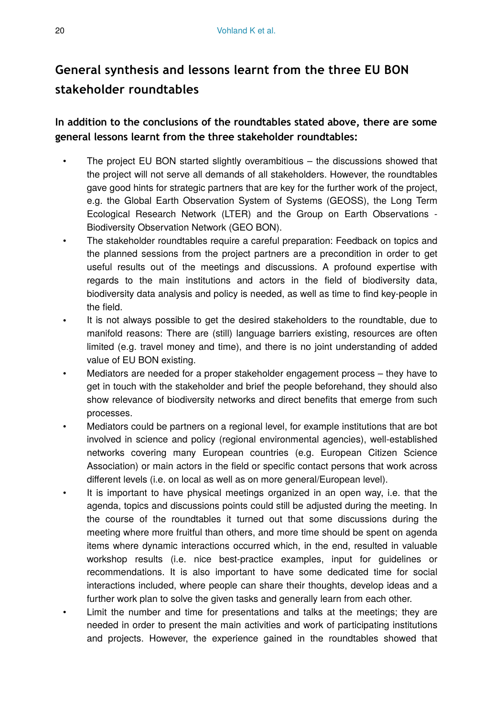# **General synthesis and lessons learnt from the three EU BON stakeholder roundtables**

**In addition to the conclusions of the roundtables stated above, there are some general lessons learnt from the three stakeholder roundtables:**

- The project EU BON started slightly overambitious the discussions showed that the project will not serve all demands of all stakeholders. However, the roundtables gave good hints for strategic partners that are key for the further work of the project, e.g. the Global Earth Observation System of Systems (GEOSS), the Long Term Ecological Research Network (LTER) and the Group on Earth Observations - Biodiversity Observation Network (GEO BON).
- The stakeholder roundtables require a careful preparation: Feedback on topics and the planned sessions from the project partners are a precondition in order to get useful results out of the meetings and discussions. A profound expertise with regards to the main institutions and actors in the field of biodiversity data, biodiversity data analysis and policy is needed, as well as time to find key-people in the field.
- It is not always possible to get the desired stakeholders to the roundtable, due to manifold reasons: There are (still) language barriers existing, resources are often limited (e.g. travel money and time), and there is no joint understanding of added value of EU BON existing.
- Mediators are needed for a proper stakeholder engagement process they have to get in touch with the stakeholder and brief the people beforehand, they should also show relevance of biodiversity networks and direct benefits that emerge from such processes.
- Mediators could be partners on a regional level, for example institutions that are bot involved in science and policy (regional environmental agencies), well-established networks covering many European countries (e.g. European Citizen Science Association) or main actors in the field or specific contact persons that work across different levels (i.e. on local as well as on more general/European level).
- It is important to have physical meetings organized in an open way, i.e. that the agenda, topics and discussions points could still be adjusted during the meeting. In the course of the roundtables it turned out that some discussions during the meeting where more fruitful than others, and more time should be spent on agenda items where dynamic interactions occurred which, in the end, resulted in valuable workshop results (i.e. nice best-practice examples, input for guidelines or recommendations. It is also important to have some dedicated time for social interactions included, where people can share their thoughts, develop ideas and a further work plan to solve the given tasks and generally learn from each other.
- Limit the number and time for presentations and talks at the meetings; they are needed in order to present the main activities and work of participating institutions and projects. However, the experience gained in the roundtables showed that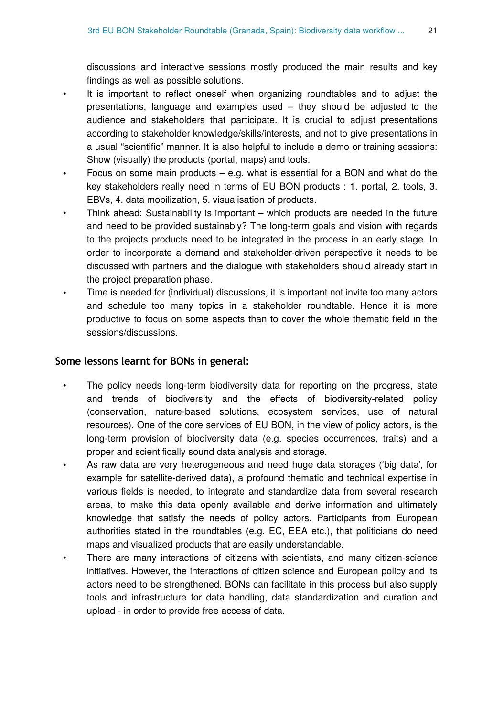discussions and interactive sessions mostly produced the main results and key findings as well as possible solutions.

- It is important to reflect oneself when organizing roundtables and to adjust the presentations, language and examples used – they should be adjusted to the audience and stakeholders that participate. It is crucial to adjust presentations according to stakeholder knowledge/skills/interests, and not to give presentations in a usual "scientific" manner. It is also helpful to include a demo or training sessions: Show (visually) the products (portal, maps) and tools.
- Focus on some main products  $-$  e.g. what is essential for a BON and what do the key stakeholders really need in terms of EU BON products : 1. portal, 2. tools, 3. EBVs, 4. data mobilization, 5. visualisation of products.
- Think ahead: Sustainability is important which products are needed in the future and need to be provided sustainably? The long-term goals and vision with regards to the projects products need to be integrated in the process in an early stage. In order to incorporate a demand and stakeholder-driven perspective it needs to be discussed with partners and the dialogue with stakeholders should already start in the project preparation phase.
- Time is needed for (individual) discussions, it is important not invite too many actors and schedule too many topics in a stakeholder roundtable. Hence it is more productive to focus on some aspects than to cover the whole thematic field in the sessions/discussions.

#### **Some lessons learnt for BONs in general:**

- The policy needs long-term biodiversity data for reporting on the progress, state and trends of biodiversity and the effects of biodiversity-related policy (conservation, nature-based solutions, ecosystem services, use of natural resources). One of the core services of EU BON, in the view of policy actors, is the long-term provision of biodiversity data (e.g. species occurrences, traits) and a proper and scientifically sound data analysis and storage.
- As raw data are very heterogeneous and need huge data storages ('big data', for example for satellite-derived data), a profound thematic and technical expertise in various fields is needed, to integrate and standardize data from several research areas, to make this data openly available and derive information and ultimately knowledge that satisfy the needs of policy actors. Participants from European authorities stated in the roundtables (e.g. EC, EEA etc.), that politicians do need maps and visualized products that are easily understandable.
- There are many interactions of citizens with scientists, and many citizen-science initiatives. However, the interactions of citizen science and European policy and its actors need to be strengthened. BONs can facilitate in this process but also supply tools and infrastructure for data handling, data standardization and curation and upload - in order to provide free access of data.